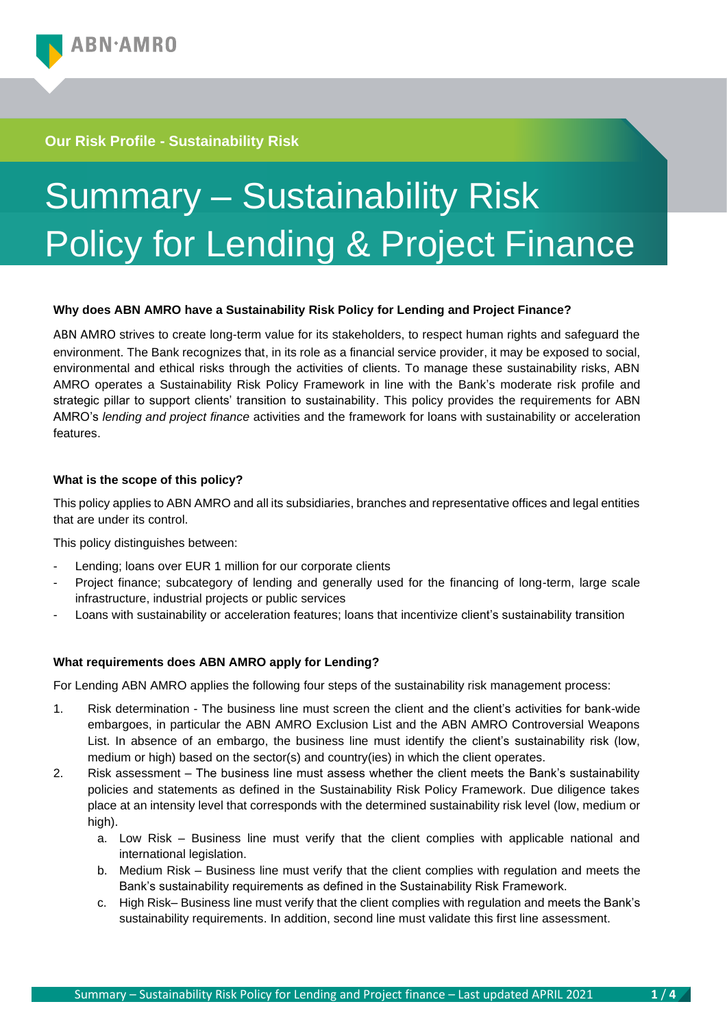# **Our Risk Profile - Sustainability Risk**

# Summary – Sustainability Risk Policy for Lending & Project Finance

## **Why does ABN AMRO have a Sustainability Risk Policy for Lending and Project Finance?**

ABN AMRO strives to create long-term value for its stakeholders, to respect human rights and safeguard the environment. The Bank recognizes that, in its role as a financial service provider, it may be exposed to social, environmental and ethical risks through the activities of clients. To manage these sustainability risks, ABN AMRO operates a Sustainability Risk Policy Framework in line with the Bank's moderate risk profile and strategic pillar to support clients' transition to sustainability. This policy provides the requirements for ABN AMRO's *lending and project finance* activities and the framework for loans with sustainability or acceleration features.

## **What is the scope of this policy?**

This policy applies to ABN AMRO and all its subsidiaries, branches and representative offices and legal entities that are under its control.

This policy distinguishes between:

- Lending; loans over EUR 1 million for our corporate clients
- Project finance; subcategory of lending and generally used for the financing of long-term, large scale infrastructure, industrial projects or public services
- Loans with sustainability or acceleration features; loans that incentivize client's sustainability transition

## **What requirements does ABN AMRO apply for Lending?**

For Lending ABN AMRO applies the following four steps of the sustainability risk management process:

- 1. Risk determination The business line must screen the client and the client's activities for bank-wide embargoes, in particular the ABN AMRO Exclusion List and the ABN AMRO Controversial Weapons List. In absence of an embargo, the business line must identify the client's sustainability risk (low, medium or high) based on the sector(s) and country(ies) in which the client operates.
- 2. Risk assessment The business line must assess whether the client meets the Bank's sustainability policies and statements as defined in the Sustainability Risk Policy Framework. Due diligence takes place at an intensity level that corresponds with the determined sustainability risk level (low, medium or high).
	- a. Low Risk Business line must verify that the client complies with applicable national and international legislation.
	- b. Medium Risk Business line must verify that the client complies with regulation and meets the Bank's sustainability requirements as defined in the Sustainability Risk Framework.
	- c. High Risk– Business line must verify that the client complies with regulation and meets the Bank's sustainability requirements. In addition, second line must validate this first line assessment.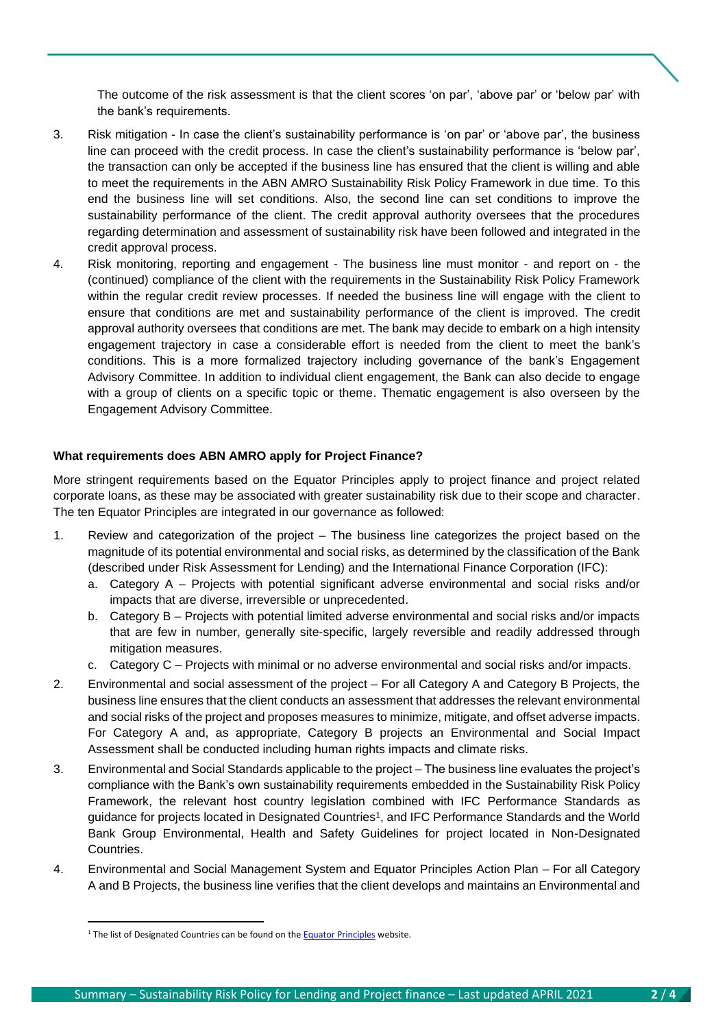The outcome of the risk assessment is that the client scores 'on par', 'above par' or 'below par' with the bank's requirements.

- 3. Risk mitigation In case the client's sustainability performance is 'on par' or 'above par', the business line can proceed with the credit process. In case the client's sustainability performance is 'below par', the transaction can only be accepted if the business line has ensured that the client is willing and able to meet the requirements in the ABN AMRO Sustainability Risk Policy Framework in due time. To this end the business line will set conditions. Also, the second line can set conditions to improve the sustainability performance of the client. The credit approval authority oversees that the procedures regarding determination and assessment of sustainability risk have been followed and integrated in the credit approval process.
- 4. Risk monitoring, reporting and engagement The business line must monitor and report on the (continued) compliance of the client with the requirements in the Sustainability Risk Policy Framework within the regular credit review processes. If needed the business line will engage with the client to ensure that conditions are met and sustainability performance of the client is improved. The credit approval authority oversees that conditions are met. The bank may decide to embark on a high intensity engagement trajectory in case a considerable effort is needed from the client to meet the bank's conditions. This is a more formalized trajectory including governance of the bank's Engagement Advisory Committee. In addition to individual client engagement, the Bank can also decide to engage with a group of clients on a specific topic or theme. Thematic engagement is also overseen by the Engagement Advisory Committee.

#### **What requirements does ABN AMRO apply for Project Finance?**

More stringent requirements based on the Equator Principles apply to project finance and project related corporate loans, as these may be associated with greater sustainability risk due to their scope and character. The ten Equator Principles are integrated in our governance as followed:

- 1. Review and categorization of the project The business line categorizes the project based on the magnitude of its potential environmental and social risks, as determined by the classification of the Bank (described under Risk Assessment for Lending) and the International Finance Corporation (IFC):
	- a. Category A Projects with potential significant adverse environmental and social risks and/or impacts that are diverse, irreversible or unprecedented.
	- b. Category B Projects with potential limited adverse environmental and social risks and/or impacts that are few in number, generally site-specific, largely reversible and readily addressed through mitigation measures.
	- c. Category C Projects with minimal or no adverse environmental and social risks and/or impacts.
- 2. Environmental and social assessment of the project For all Category A and Category B Projects, the business line ensures that the client conducts an assessment that addresses the relevant environmental and social risks of the project and proposes measures to minimize, mitigate, and offset adverse impacts. For Category A and, as appropriate, Category B projects an Environmental and Social Impact Assessment shall be conducted including human rights impacts and climate risks.
- 3. Environmental and Social Standards applicable to the project The business line evaluates the project's compliance with the Bank's own sustainability requirements embedded in the Sustainability Risk Policy Framework, the relevant host country legislation combined with IFC Performance Standards as guidance for projects located in Designated Countries<sup>1</sup> , and IFC Performance Standards and the World Bank Group Environmental, Health and Safety Guidelines for project located in Non-Designated Countries.
- 4. Environmental and Social Management System and Equator Principles Action Plan For all Category A and B Projects, the business line verifies that the client develops and maintains an Environmental and

<sup>&</sup>lt;sup>1</sup> The list of Designated Countries can be found on th[e Equator Principles](https://equator-principles.com/designated-countries/) website.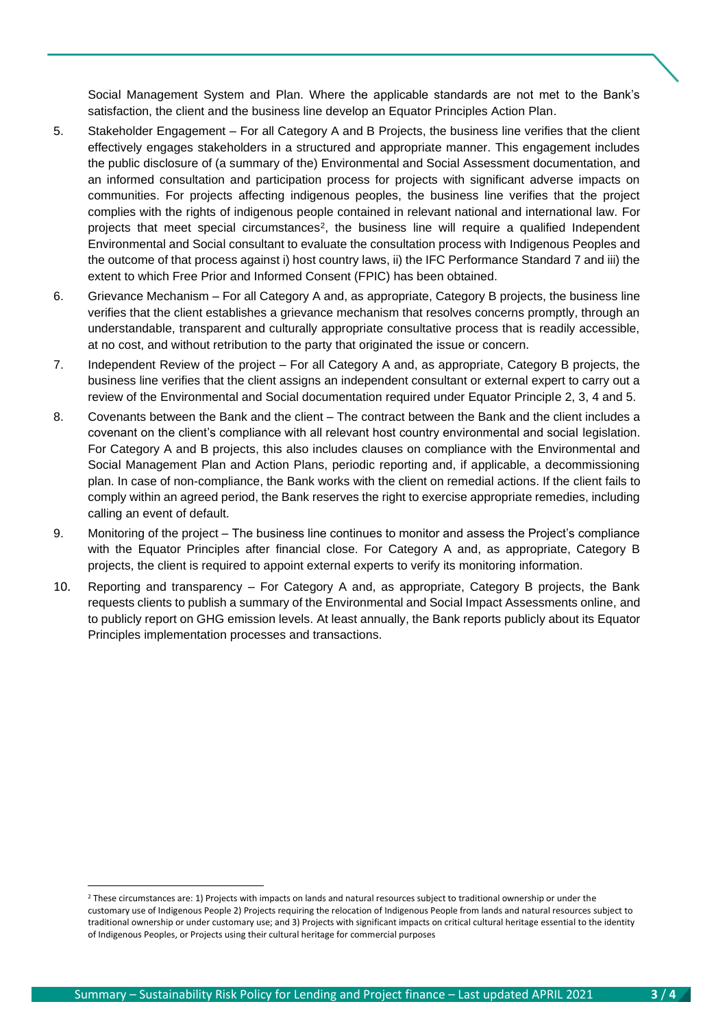Social Management System and Plan. Where the applicable standards are not met to the Bank's satisfaction, the client and the business line develop an Equator Principles Action Plan.

- 5. Stakeholder Engagement For all Category A and B Projects, the business line verifies that the client effectively engages stakeholders in a structured and appropriate manner. This engagement includes the public disclosure of (a summary of the) Environmental and Social Assessment documentation, and an informed consultation and participation process for projects with significant adverse impacts on communities. For projects affecting indigenous peoples, the business line verifies that the project complies with the rights of indigenous people contained in relevant national and international law. For projects that meet special circumstances<sup>2</sup>, the business line will require a qualified Independent Environmental and Social consultant to evaluate the consultation process with Indigenous Peoples and the outcome of that process against i) host country laws, ii) the IFC Performance Standard 7 and iii) the extent to which Free Prior and Informed Consent (FPIC) has been obtained.
- 6. Grievance Mechanism For all Category A and, as appropriate, Category B projects, the business line verifies that the client establishes a grievance mechanism that resolves concerns promptly, through an understandable, transparent and culturally appropriate consultative process that is readily accessible, at no cost, and without retribution to the party that originated the issue or concern.
- 7. Independent Review of the project For all Category A and, as appropriate, Category B projects, the business line verifies that the client assigns an independent consultant or external expert to carry out a review of the Environmental and Social documentation required under Equator Principle 2, 3, 4 and 5.
- 8. Covenants between the Bank and the client The contract between the Bank and the client includes a covenant on the client's compliance with all relevant host country environmental and social legislation. For Category A and B projects, this also includes clauses on compliance with the Environmental and Social Management Plan and Action Plans, periodic reporting and, if applicable, a decommissioning plan. In case of non-compliance, the Bank works with the client on remedial actions. If the client fails to comply within an agreed period, the Bank reserves the right to exercise appropriate remedies, including calling an event of default.
- 9. Monitoring of the project The business line continues to monitor and assess the Project's compliance with the Equator Principles after financial close. For Category A and, as appropriate, Category B projects, the client is required to appoint external experts to verify its monitoring information.
- 10. Reporting and transparency For Category A and, as appropriate, Category B projects, the Bank requests clients to publish a summary of the Environmental and Social Impact Assessments online, and to publicly report on GHG emission levels. At least annually, the Bank reports publicly about its Equator Principles implementation processes and transactions.

<sup>2</sup> These circumstances are: 1) Projects with impacts on lands and natural resources subject to traditional ownership or under the customary use of Indigenous People 2) Projects requiring the relocation of Indigenous People from lands and natural resources subject to traditional ownership or under customary use; and 3) Projects with significant impacts on critical cultural heritage essential to the identity of Indigenous Peoples, or Projects using their cultural heritage for commercial purposes